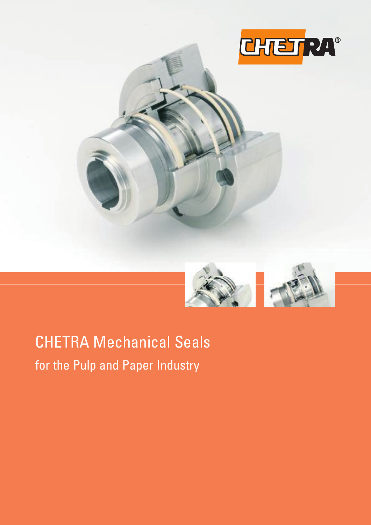



## CHETRA Mechanical Seals for the Pulp and Paper Industry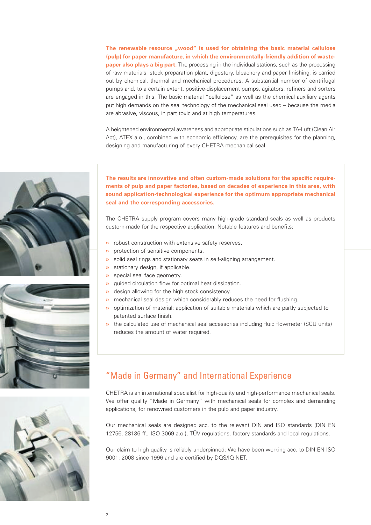**The renewable resource "wood" is used for obtaining the basic material cellulose (pulp) for paper manufacture, in which the environmentally-friendly addition of wastepaper also plays a big part.** The processing in the individual stations, such as the processing of raw materials, stock preparation plant, digestery, bleachery and paper finishing, is carried out by chemical, thermal and mechanical procedures. A substantial number of centrifugal pumps and, to a certain extent, positive-displacement pumps, agitators, refiners and sorters are engaged in this. The basic material "cellulose" as well as the chemical auxiliary agents put high demands on the seal technology of the mechanical seal used – because the media are abrasive, viscous, in part toxic and at high temperatures.

A heightened environmental awareness and appropriate stipulations such as TA-Luft (Clean Air Act), ATEX a.o., combined with economic efficiency, are the prerequisites for the planning, designing and manufacturing of every CHETRA mechanical seal.





**The results are innovative and often custom-made solutions for the specific requirements of pulp and paper factories, based on decades of experience in this area, with sound application-technological experience for the optimum appropriate mechanical seal and the corresponding accessories.**

The CHETRA supply program covers many high-grade standard seals as well as products custom-made for the respective application. Notable features and benefits:

- **»** robust construction with extensive safety reserves.
- **»** protection of sensitive components.
- **»** solid seal rings and stationary seats in self-aligning arrangement.
- **»** stationary design, if applicable.
- **»** special seal face geometry.
- **»** guided circulation flow for optimal heat dissipation.
- **»** design allowing for the high stock consistency.
- **»** mechanical seal design which considerably reduces the need for flushing.
- **»** optimization of material: application of suitable materials which are partly subjected to patented surface finish.
- **»** the calculated use of mechanical seal accessories including fluid flowmeter (SCU units) reduces the amount of water required.

## "Made in Germany" and International Experience

CHETRA is an international specialist for high-quality and high-performance mechanical seals. We offer quality "Made in Germany" with mechanical seals for complex and demanding applications, for renowned customers in the pulp and paper industry.

Our mechanical seals are designed acc. to the relevant DIN and ISO standards (DIN EN 12756, 28136 ff., ISO 3069 a.o.), TÜV regulations, factory standards and local regulations.

Our claim to high quality is reliably underpinned: We have been working acc. to DIN EN ISO 9001: 2008 since 1996 and are certified by DQS/IQ NET.

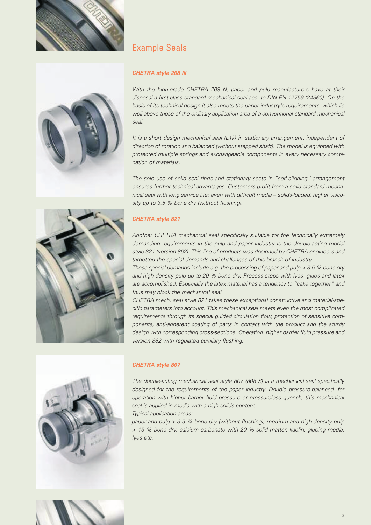



## Example Seals

#### *CHETRA style 208 N*

*With the high-grade CHETRA 208 N, paper and pulp manufacturers have at their disposal a first-class standard mechanical seal acc. to DIN EN 12756 (24960). On the basis of its technical design it also meets the paper industry's requirements, which lie well above those of the ordinary application area of a conventional standard mechanical seal.*

*It is a short design mechanical seal (L1k) in stationary arrangement, independent of direction of rotation and balanced (without stepped shaft). The model is equipped with protected multiple springs and exchangeable components in every necessary combination of materials.*

*The sole use of solid seal rings and stationary seats in "self-aligning" arrangement ensures further technical advantages. Customers profit from a solid standard mechanical seal with long service life; even with difficult media – solids-loaded, higher viscosity up to 3.5 % bone dry (without flushing).*



*Another CHETRA mechanical seal specifically suitable for the technically extremely demanding requirements in the pulp and paper industry is the double-acting model style 821 (version 862). This line of products was designed by CHETRA engineers and targetted the special demands and challenges of this branch of industry.*

*These special demands include e.g. the processing of paper and pulp > 3.5 % bone dry and high density pulp up to 20 % bone dry. Process steps with lyes, glues and latex are accomplished. Especially the latex material has a tendency to "cake together" and thus may block the mechanical seal.*

*CHETRA mech. seal style 821 takes these exceptional constructive and material-specific parameters into account. This mechanical seal meets even the most complicated requirements through its special guided circulation flow, protection of sensitive components, anti-adherent coating of parts in contact with the product and the sturdy design with corresponding cross-sections. Operation: higher barrier fluid pressure and version 862 with regulated auxiliary flushing.*



#### *CHETRA style 807*

*The double-acting mechanical seal style 807 (808 S) is a mechanical seal specifically designed for the requirements of the paper industry. Double pressure-balanced, for operation with higher barrier fluid pressure or pressureless quench, this mechanical seal is applied in media with a high solids content.*

*Typical application areas:*

*paper and pulp > 3.5 % bone dry (without flushing), medium and high-density pulp > 15 % bone dry, calcium carbonate with 20 % solid matter, kaolin, glueing media, lyes etc.*

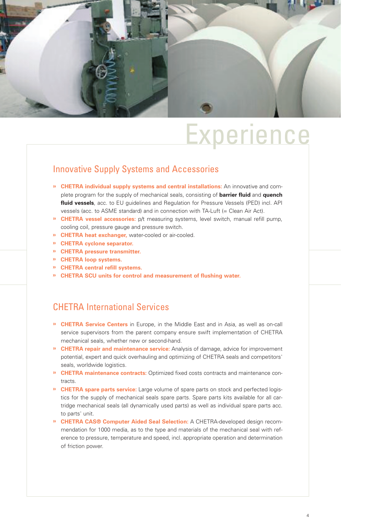

## **Experience**

### Innovative Supply Systems and Accessories

- **» CHETRA individual supply systems and central installations:** An innovative and complete program for the supply of mechanical seals, consisting of **barrier fluid** and **quench fluid vessels**, acc. to EU guidelines and Regulation for Pressure Vessels (PED) incl. API vessels (acc. to ASME standard) and in connection with TA-Luft (= Clean Air Act).
- **» CHETRA vessel accessories:** p/t measuring systems, level switch, manual refill pump, cooling coil, pressure gauge and pressure switch.
- **» CHETRA heat exchanger,** water-cooled or air-cooled.
- **» CHETRA cyclone separator.**
- **» CHETRA pressure transmitter.**
- **» CHETRA loop systems.**
- **» CHETRA central refill systems.**
- **» CHETRA SCU units for control and measurement of flushing water.**

### CHETRA International Services

- **» CHETRA Service Centers** in Europe, in the Middle East and in Asia, as well as on-call service supervisors from the parent company ensure swift implementation of CHETRA mechanical seals, whether new or second-hand.
- **» CHETRA repair and maintenance service:** Analysis of damage, advice for improvement potential, expert and quick overhauling and optimizing of CHETRA seals and competitors' seals, worldwide logistics.
- **» CHETRA maintenance contracts:** Optimized fixed costs contracts and maintenance contracts.
- **» CHETRA spare parts service:** Large volume of spare parts on stock and perfected logistics for the supply of mechanical seals spare parts. Spare parts kits available for all cartridge mechanical seals (all dynamically used parts) as well as individual spare parts acc. to parts' unit.
- **» CHETRA CAS® Computer Aided Seal Selection:** A CHETRA-developed design recommendation for 1000 media, as to the type and materials of the mechanical seal with reference to pressure, temperature and speed, incl. appropriate operation and determination of friction power.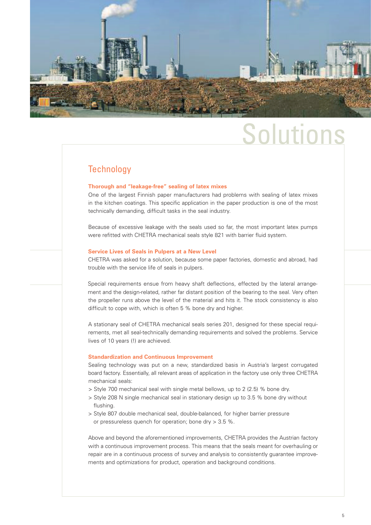

# Solutions

#### **Technology**

#### **Thorough and "leakage-free" sealing of latex mixes**

One of the largest Finnish paper manufacturers had problems with sealing of latex mixes in the kitchen coatings. This specific application in the paper production is one of the most technically demanding, difficult tasks in the seal industry.

Because of excessive leakage with the seals used so far, the most important latex pumps were refitted with CHETRA mechanical seals style 821 with barrier fluid system.

#### **Service Lives of Seals in Pulpers at a New Level**

CHETRA was asked for a solution, because some paper factories, domestic and abroad, had trouble with the service life of seals in pulpers.

Special requirements ensue from heavy shaft deflections, effected by the lateral arrangement and the design-related, rather far distant position of the bearing to the seal. Very often the propeller runs above the level of the material and hits it. The stock consistency is also difficult to cope with, which is often 5 % bone dry and higher.

A stationary seal of CHETRA mechanical seals series 201, designed for these special requirements, met all seal-technically demanding requirements and solved the problems. Service lives of 10 years (!) are achieved.

#### **Standardization and Continuous Improvement**

Sealing technology was put on a new, standardized basis in Austria's largest corrugated board factory. Essentially, all relevant areas of application in the factory use only three CHETRA mechanical seals:

> Style 700 mechanical seal with single metal bellows, up to 2 (2.5) % bone dry.

- > Style 208 N single mechanical seal in stationary design up to 3.5 % bone dry without flushing.
- > Style 807 double mechanical seal, double-balanced, for higher barrier pressure or pressureless quench for operation; bone dry > 3.5 %.

Above and beyond the aforementioned improvements, CHETRA provides the Austrian factory with a continuous improvement process. This means that the seals meant for overhauling or repair are in a continuous process of survey and analysis to consistently guarantee improvements and optimizations for product, operation and background conditions.